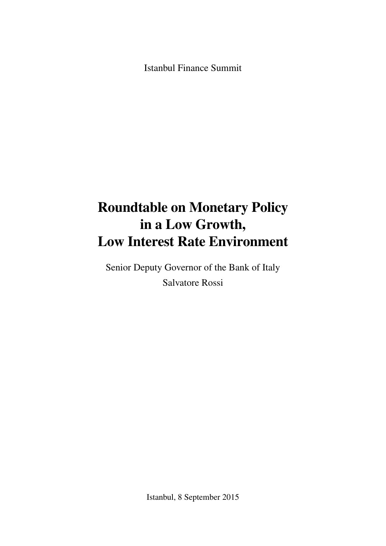Istanbul Finance Summit

## **Roundtable on Monetary Policy in a Low Growth, Low Interest Rate Environment**

Senior Deputy Governor of the Bank of Italy Salvatore Rossi

Istanbul, 8 September 2015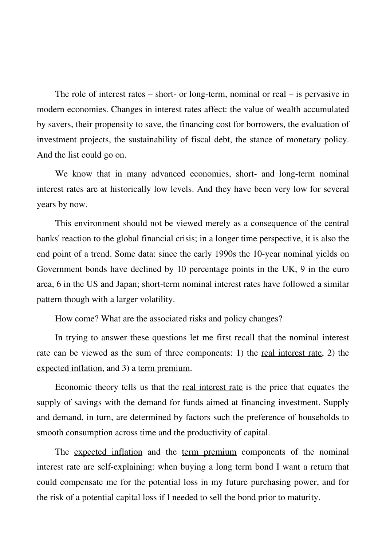The role of interest rates – short- or long-term, nominal or real – is pervasive in modern economies. Changes in interest rates affect: the value of wealth accumulated by savers, their propensity to save, the financing cost for borrowers, the evaluation of investment projects, the sustainability of fiscal debt, the stance of monetary policy. And the list could go on.

We know that in many advanced economies, short- and long-term nominal interest rates are at historically low levels. And they have been very low for several years by now.

This environment should not be viewed merely as a consequence of the central banks' reaction to the global financial crisis; in a longer time perspective, it is also the end point of a trend. Some data: since the early 1990s the 10-year nominal yields on Government bonds have declined by 10 percentage points in the UK, 9 in the euro area, 6 in the US and Japan; short-term nominal interest rates have followed a similar pattern though with a larger volatility.

How come? What are the associated risks and policy changes?

In trying to answer these questions let me first recall that the nominal interest rate can be viewed as the sum of three components: 1) the real interest rate, 2) the expected inflation, and 3) a term premium.

Economic theory tells us that the real interest rate is the price that equates the supply of savings with the demand for funds aimed at financing investment. Supply and demand, in turn, are determined by factors such the preference of households to smooth consumption across time and the productivity of capital.

The expected inflation and the term premium components of the nominal interest rate are self-explaining: when buying a long term bond I want a return that could compensate me for the potential loss in my future purchasing power, and for the risk of a potential capital loss if I needed to sell the bond prior to maturity.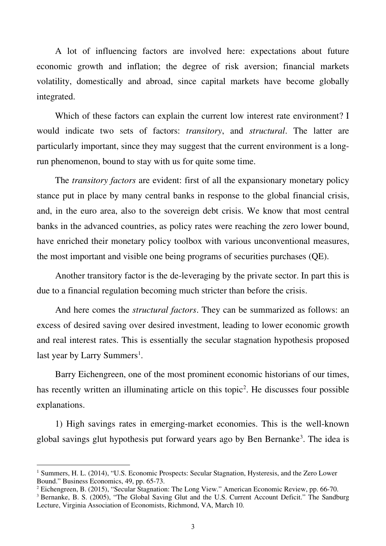A lot of influencing factors are involved here: expectations about future economic growth and inflation; the degree of risk aversion; financial markets volatility, domestically and abroad, since capital markets have become globally integrated.

Which of these factors can explain the current low interest rate environment? I would indicate two sets of factors: *transitory*, and *structural*. The latter are particularly important, since they may suggest that the current environment is a longrun phenomenon, bound to stay with us for quite some time.

The *transitory factors* are evident: first of all the expansionary monetary policy stance put in place by many central banks in response to the global financial crisis, and, in the euro area, also to the sovereign debt crisis. We know that most central banks in the advanced countries, as policy rates were reaching the zero lower bound, have enriched their monetary policy toolbox with various unconventional measures, the most important and visible one being programs of securities purchases (QE).

Another transitory factor is the de-leveraging by the private sector. In part this is due to a financial regulation becoming much stricter than before the crisis.

And here comes the *structural factors*. They can be summarized as follows: an excess of desired saving over desired investment, leading to lower economic growth and real interest rates. This is essentially the secular stagnation hypothesis proposed last year by Larry Summers<sup>[1](#page-2-0)</sup>.

Barry Eichengreen, one of the most prominent economic historians of our times, has recently written an illuminating article on this topic<sup>[2](#page-3-0)</sup>. He discusses four possible explanations.

1) High savings rates in emerging-market economies. This is the well-known global savings glut hypothesis put forward years ago by Ben Bernanke<sup>[3](#page-3-1)</sup>. The idea is

 $\overline{\phantom{a}}$ 

<sup>&</sup>lt;sup>1</sup> Summers, H. L. (2014), "U.S. Economic Prospects: [Secular Stagnation, Hysteresis, and the Zero](http://larrysummers.com/wp-content/uploads/2014/06/NABE-speech-Lawrence-H.-Summers1.pdf) Lower [Bound.](http://larrysummers.com/wp-content/uploads/2014/06/NABE-speech-Lawrence-H.-Summers1.pdf)" Business Economics, 49, pp. 65-73.

<sup>&</sup>lt;sup>2</sup> Eichengreen, B. (2015), "Secular Stagnation: The Long View." American Economic Review, pp. 66-70.

<span id="page-2-0"></span><sup>&</sup>lt;sup>3</sup> Bernanke, B. S. (2005), "The Global Saving Glut and the U.S. Current Account Deficit." The Sandburg Lecture, Virginia Association of Economists, Richmond, VA, March 10.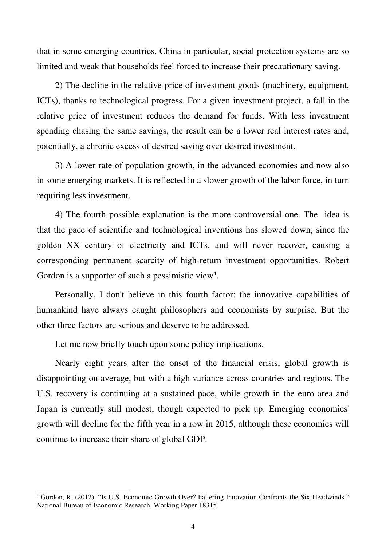that in some emerging countries, China in particular, social protection systems are so limited and weak that households feel forced to increase their precautionary saving.

2) The decline in the relative price of investment goods (machinery, equipment, ICTs), thanks to technological progress. For a given investment project, a fall in the relative price of investment reduces the demand for funds. With less investment spending chasing the same savings, the result can be a lower real interest rates and, potentially, a chronic excess of desired saving over desired investment.

3) A lower rate of population growth, in the advanced economies and now also in some emerging markets. It is reflected in a slower growth of the labor force, in turn requiring less investment.

4) The fourth possible explanation is the more controversial one. The idea is that the pace of scientific and technological inventions has slowed down, since the golden XX century of electricity and ICTs, and will never recover, causing a corresponding permanent scarcity of high-return investment opportunities. Robert Gordon is a supporter of such a pessimistic view<sup>4</sup>.

Personally, I don't believe in this fourth factor: the innovative capabilities of humankind have always caught philosophers and economists by surprise. But the other three factors are serious and deserve to be addressed.

Let me now briefly touch upon some policy implications.

<span id="page-3-1"></span><span id="page-3-0"></span>l

Nearly eight years after the onset of the financial crisis, global growth is disappointing on average, but with a high variance across countries and regions. The U.S. recovery is continuing at a sustained pace, while growth in the euro area and Japan is currently still modest, though expected to pick up. Emerging economies' growth will decline for the fifth year in a row in 2015, although these economies will continue to increase their share of global GDP.

<span id="page-3-2"></span><sup>&</sup>lt;sup>4</sup> Gordon, R. (2012), "Is U.S. Economic Growth Over? [Faltering Innovation Confronts](http://www.nber.org/papers/w18315.pdf) the Six Headwinds." National Bureau of Economic Research, Working Paper 18315.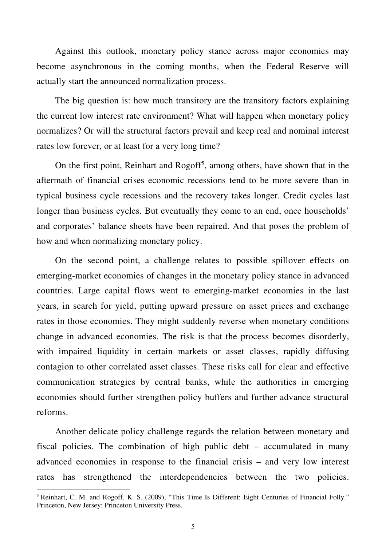Against this outlook, monetary policy stance across major economies may become asynchronous in the coming months, when the Federal Reserve will actually start the announced normalization process.

The big question is: how much transitory are the transitory factors explaining the current low interest rate environment? What will happen when monetary policy normalizes? Or will the structural factors prevail and keep real and nominal interest rates low forever, or at least for a very long time?

On the first point, Reinhart and Rogoff<sup>[5](#page-4-0)</sup>, among others, have shown that in the aftermath of financial crises economic recessions tend to be more severe than in typical business cycle recessions and the recovery takes longer. Credit cycles last longer than business cycles. But eventually they come to an end, once households' and corporates' balance sheets have been repaired. And that poses the problem of how and when normalizing monetary policy.

On the second point, a challenge relates to possible spillover effects on emerging-market economies of changes in the monetary policy stance in advanced countries. Large capital flows went to emerging-market economies in the last years, in search for yield, putting upward pressure on asset prices and exchange rates in those economies. They might suddenly reverse when monetary conditions change in advanced economies. The risk is that the process becomes disorderly, with impaired liquidity in certain markets or asset classes, rapidly diffusing contagion to other correlated asset classes. These risks call for clear and effective communication strategies by central banks, while the authorities in emerging economies should further strengthen policy buffers and further advance structural reforms.

Another delicate policy challenge regards the relation between monetary and fiscal policies. The combination of high public debt – accumulated in many advanced economies in response to the financial crisis – and very low interest rates has strengthened the interdependencies between the two policies.

l

<span id="page-4-0"></span><sup>&</sup>lt;sup>5</sup> Reinhart, C. M. and Rogoff, K. S. (2009), "This Time Is Different: Eight Centuries of Financial Folly." Princeton, New Jersey: Princeton University Press.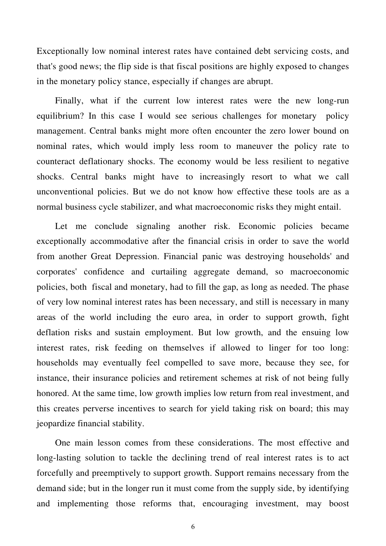Exceptionally low nominal interest rates have contained debt servicing costs, and that's good news; the flip side is that fiscal positions are highly exposed to changes in the monetary policy stance, especially if changes are abrupt.

Finally, what if the current low interest rates were the new long-run equilibrium? In this case I would see serious challenges for monetary policy management. Central banks might more often encounter the zero lower bound on nominal rates, which would imply less room to maneuver the policy rate to counteract deflationary shocks. The economy would be less resilient to negative shocks. Central banks might have to increasingly resort to what we call unconventional policies. But we do not know how effective these tools are as a normal business cycle stabilizer, and what macroeconomic risks they might entail.

Let me conclude signaling another risk. Economic policies became exceptionally accommodative after the financial crisis in order to save the world from another Great Depression. Financial panic was destroying households' and corporates' confidence and curtailing aggregate demand, so macroeconomic policies, both fiscal and monetary, had to fill the gap, as long as needed. The phase of very low nominal interest rates has been necessary, and still is necessary in many areas of the world including the euro area, in order to support growth, fight deflation risks and sustain employment. But low growth, and the ensuing low interest rates, risk feeding on themselves if allowed to linger for too long: households may eventually feel compelled to save more, because they see, for instance, their insurance policies and retirement schemes at risk of not being fully honored. At the same time, low growth implies low return from real investment, and this creates perverse incentives to search for yield taking risk on board; this may jeopardize financial stability.

One main lesson comes from these considerations. The most effective and long-lasting solution to tackle the declining trend of real interest rates is to act forcefully and preemptively to support growth. Support remains necessary from the demand side; but in the longer run it must come from the supply side, by identifying and implementing those reforms that, encouraging investment, may boost

6